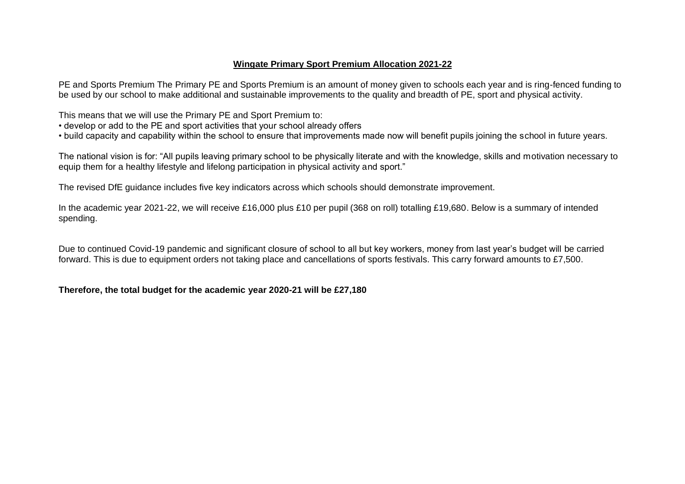### **Wingate Primary Sport Premium Allocation 2021-22**

PE and Sports Premium The Primary PE and Sports Premium is an amount of money given to schools each year and is ring-fenced funding to be used by our school to make additional and sustainable improvements to the quality and breadth of PE, sport and physical activity.

This means that we will use the Primary PE and Sport Premium to:

- develop or add to the PE and sport activities that your school already offers
- build capacity and capability within the school to ensure that improvements made now will benefit pupils joining the school in future years.

The national vision is for: "All pupils leaving primary school to be physically literate and with the knowledge, skills and motivation necessary to equip them for a healthy lifestyle and lifelong participation in physical activity and sport."

The revised DfE guidance includes five key indicators across which schools should demonstrate improvement.

In the academic year 2021-22, we will receive £16,000 plus £10 per pupil (368 on roll) totalling £19,680. Below is a summary of intended spending.

Due to continued Covid-19 pandemic and significant closure of school to all but key workers, money from last year's budget will be carried forward. This is due to equipment orders not taking place and cancellations of sports festivals. This carry forward amounts to £7,500.

### **Therefore, the total budget for the academic year 2020-21 will be £27,180**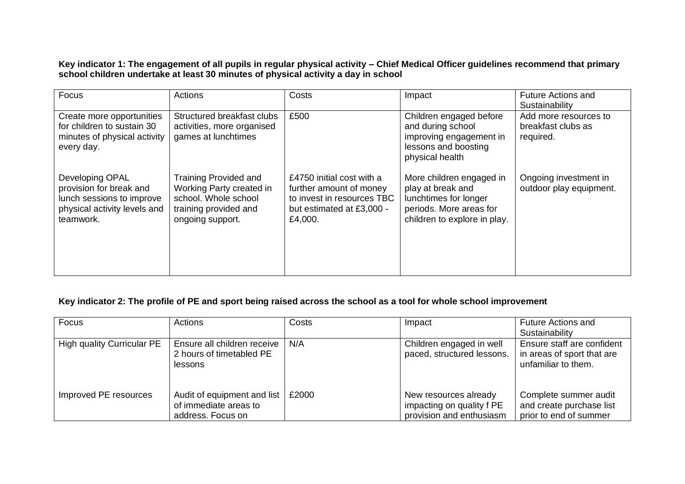**Key indicator 1: The engagement of all pupils in regular physical activity – Chief Medical Officer guidelines recommend that primary school children undertake at least 30 minutes of physical activity a day in school**

| Focus                                                                                                                | <b>Actions</b>                                                                                                                | Costs                                                                                                                      | Impact                                                                                                                            | <b>Future Actions and</b><br>Sustainability              |
|----------------------------------------------------------------------------------------------------------------------|-------------------------------------------------------------------------------------------------------------------------------|----------------------------------------------------------------------------------------------------------------------------|-----------------------------------------------------------------------------------------------------------------------------------|----------------------------------------------------------|
| Create more opportunities<br>for children to sustain 30<br>minutes of physical activity<br>every day.                | Structured breakfast clubs<br>activities, more organised<br>games at lunchtimes                                               | £500                                                                                                                       | Children engaged before<br>and during school<br>improving engagement in<br>lessons and boosting<br>physical health                | Add more resources to<br>breakfast clubs as<br>required. |
| Developing OPAL<br>provision for break and<br>lunch sessions to improve<br>physical activity levels and<br>teamwork. | <b>Training Provided and</b><br>Working Party created in<br>school. Whole school<br>training provided and<br>ongoing support. | £4750 initial cost with a<br>further amount of money<br>to invest in resources TBC<br>but estimated at £3,000 -<br>£4,000. | More children engaged in<br>play at break and<br>lunchtimes for longer<br>periods. More areas for<br>children to explore in play. | Ongoing investment in<br>outdoor play equipment.         |

## **Key indicator 2: The profile of PE and sport being raised across the school as a tool for whole school improvement**

| Focus                      | Actions                                                                   | Costs | Impact                                                                         | <b>Future Actions and</b><br>Sustainability                                     |
|----------------------------|---------------------------------------------------------------------------|-------|--------------------------------------------------------------------------------|---------------------------------------------------------------------------------|
| High quality Curricular PE | Ensure all children receive<br>2 hours of timetabled PE<br>lessons        | N/A   | Children engaged in well<br>paced, structured lessons.                         | Ensure staff are confident<br>in areas of sport that are<br>unfamiliar to them. |
| Improved PE resources      | Audit of equipment and list<br>of immediate areas to<br>address. Focus on | £2000 | New resources already<br>impacting on quality f PE<br>provision and enthusiasm | Complete summer audit<br>and create purchase list<br>prior to end of summer     |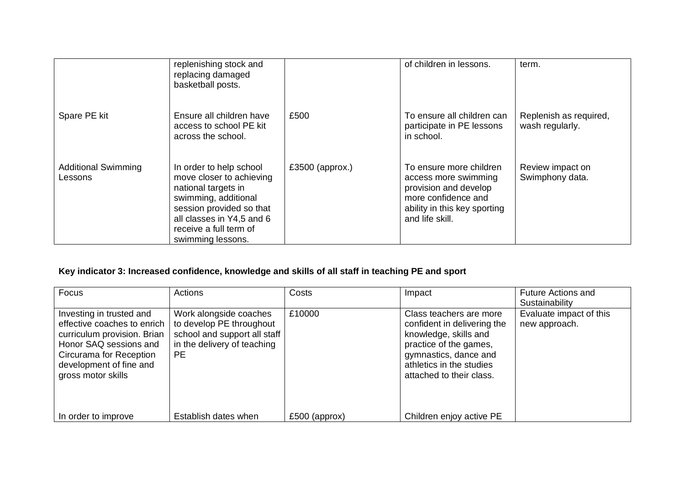|                                       | replenishing stock and<br>replacing damaged<br>basketball posts.                                                                                                                                           |                 | of children in lessons.                                                                                                                            | term.                                     |
|---------------------------------------|------------------------------------------------------------------------------------------------------------------------------------------------------------------------------------------------------------|-----------------|----------------------------------------------------------------------------------------------------------------------------------------------------|-------------------------------------------|
| Spare PE kit                          | Ensure all children have<br>access to school PE kit<br>across the school.                                                                                                                                  | £500            | To ensure all children can<br>participate in PE lessons<br>in school.                                                                              | Replenish as required,<br>wash regularly. |
| <b>Additional Swimming</b><br>Lessons | In order to help school<br>move closer to achieving<br>national targets in<br>swimming, additional<br>session provided so that<br>all classes in Y4,5 and 6<br>receive a full term of<br>swimming lessons. | £3500 (approx.) | To ensure more children<br>access more swimming<br>provision and develop<br>more confidence and<br>ability in this key sporting<br>and life skill. | Review impact on<br>Swimphony data.       |

# **Key indicator 3: Increased confidence, knowledge and skills of all staff in teaching PE and sport**

| Focus                                                                                                                                                                                          | Actions                                                                                                                        | Costs           | Impact                                                                                                                                                                                     | <b>Future Actions and</b><br>Sustainability |
|------------------------------------------------------------------------------------------------------------------------------------------------------------------------------------------------|--------------------------------------------------------------------------------------------------------------------------------|-----------------|--------------------------------------------------------------------------------------------------------------------------------------------------------------------------------------------|---------------------------------------------|
| Investing in trusted and<br>effective coaches to enrich  <br>curriculum provision. Brian<br>Honor SAQ sessions and<br>Circurama for Reception<br>development of fine and<br>gross motor skills | Work alongside coaches<br>to develop PE throughout<br>school and support all staff<br>in the delivery of teaching<br><b>PE</b> | £10000          | Class teachers are more<br>confident in delivering the<br>knowledge, skills and<br>practice of the games,<br>gymnastics, dance and<br>athletics in the studies<br>attached to their class. | Evaluate impact of this<br>new approach.    |
| In order to improve                                                                                                                                                                            | Establish dates when                                                                                                           | $£500$ (approx) | Children enjoy active PE                                                                                                                                                                   |                                             |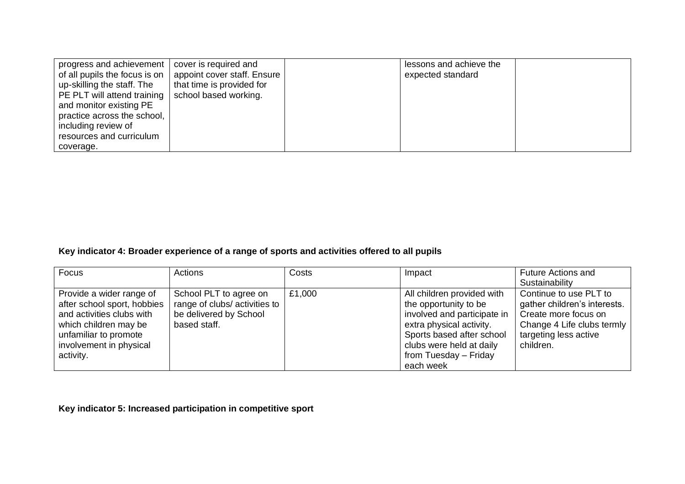| progress and achievement  <br>of all pupils the focus is on<br>up-skilling the staff. The<br>PE PLT will attend training   school based working.<br>and monitor existing PE<br>practice across the school,<br>including review of<br>resources and curriculum | cover is required and<br>appoint cover staff. Ensure<br>that time is provided for | lessons and achieve the<br>expected standard |  |
|---------------------------------------------------------------------------------------------------------------------------------------------------------------------------------------------------------------------------------------------------------------|-----------------------------------------------------------------------------------|----------------------------------------------|--|
| coverage.                                                                                                                                                                                                                                                     |                                                                                   |                                              |  |

## **Key indicator 4: Broader experience of a range of sports and activities offered to all pupils**

| Focus                                                                                                                                                                          | Actions                                                                                          | Costs  | Impact                                                                                                                                                                                                        | <b>Future Actions and</b>                                                                                                                          |
|--------------------------------------------------------------------------------------------------------------------------------------------------------------------------------|--------------------------------------------------------------------------------------------------|--------|---------------------------------------------------------------------------------------------------------------------------------------------------------------------------------------------------------------|----------------------------------------------------------------------------------------------------------------------------------------------------|
|                                                                                                                                                                                |                                                                                                  |        |                                                                                                                                                                                                               | Sustainability                                                                                                                                     |
| Provide a wider range of<br>after school sport, hobbies<br>and activities clubs with<br>which children may be<br>unfamiliar to promote<br>involvement in physical<br>activity. | School PLT to agree on<br>range of clubs/activities to<br>be delivered by School<br>based staff. | £1,000 | All children provided with<br>the opportunity to be<br>involved and participate in<br>extra physical activity.<br>Sports based after school<br>clubs were held at daily<br>from Tuesday - Friday<br>each week | Continue to use PLT to<br>gather children's interests.<br>Create more focus on<br>Change 4 Life clubs termly<br>targeting less active<br>children. |

**Key indicator 5: Increased participation in competitive sport**